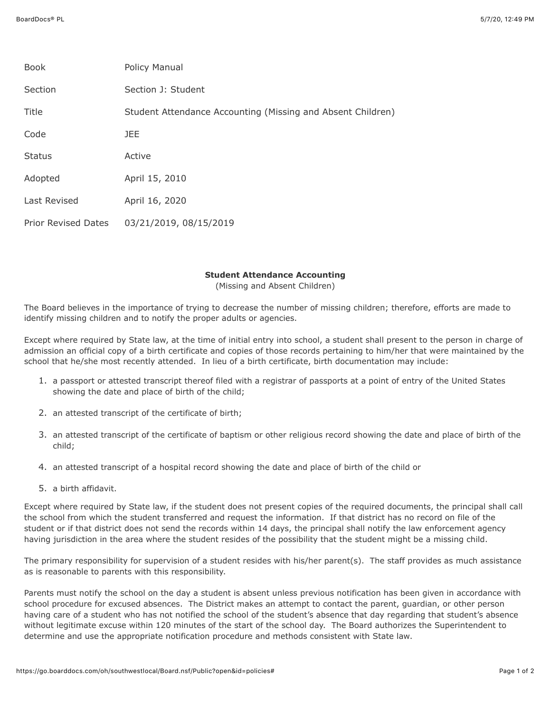| <b>Book</b>                | Policy Manual                                               |
|----------------------------|-------------------------------------------------------------|
| Section                    | Section J: Student                                          |
| Title                      | Student Attendance Accounting (Missing and Absent Children) |
| Code                       | <b>JEE</b>                                                  |
| <b>Status</b>              | Active                                                      |
| Adopted                    | April 15, 2010                                              |
| Last Revised               | April 16, 2020                                              |
| <b>Prior Revised Dates</b> | 03/21/2019, 08/15/2019                                      |

## **Student Attendance Accounting**

(Missing and Absent Children)

The Board believes in the importance of trying to decrease the number of missing children; therefore, efforts are made to identify missing children and to notify the proper adults or agencies.

Except where required by State law, at the time of initial entry into school, a student shall present to the person in charge of admission an official copy of a birth certificate and copies of those records pertaining to him/her that were maintained by the school that he/she most recently attended. In lieu of a birth certificate, birth documentation may include:

- 1. a passport or attested transcript thereof filed with a registrar of passports at a point of entry of the United States showing the date and place of birth of the child;
- 2. an attested transcript of the certificate of birth;
- 3. an attested transcript of the certificate of baptism or other religious record showing the date and place of birth of the child;
- 4. an attested transcript of a hospital record showing the date and place of birth of the child or
- 5. a birth affidavit.

Except where required by State law, if the student does not present copies of the required documents, the principal shall call the school from which the student transferred and request the information. If that district has no record on file of the student or if that district does not send the records within 14 days, the principal shall notify the law enforcement agency having jurisdiction in the area where the student resides of the possibility that the student might be a missing child.

The primary responsibility for supervision of a student resides with his/her parent(s). The staff provides as much assistance as is reasonable to parents with this responsibility.

Parents must notify the school on the day a student is absent unless previous notification has been given in accordance with school procedure for excused absences. The District makes an attempt to contact the parent, guardian, or other person having care of a student who has not notified the school of the student's absence that day regarding that student's absence without legitimate excuse within 120 minutes of the start of the school day. The Board authorizes the Superintendent to determine and use the appropriate notification procedure and methods consistent with State law.